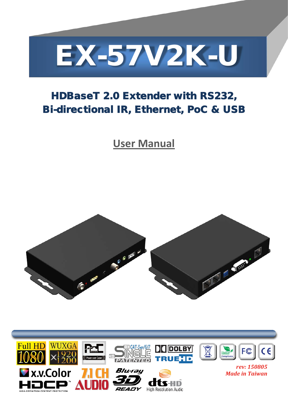

# HDBaseT 2.0 Extender with RS232, Bi-directional IR, Ethernet, PoC & USB

**User Manual**



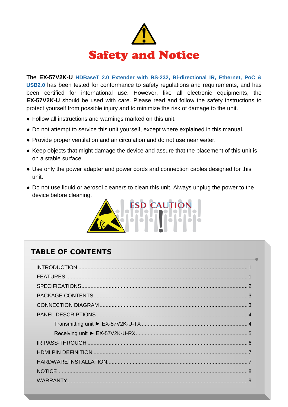

The **EX-57V2K-U HDBaseT 2.0 Extender with RS-232, Bi-directional IR, Ethernet, PoC & USB2.0** has been tested for conformance to safety regulations and requirements, and has been certified for international use. However, like all electronic equipments, the **EX-57V2K-U** should be used with care. Please read and follow the safety instructions to protect yourself from possible injury and to minimize the risk of damage to the unit.

- Follow all instructions and warnings marked on this unit.
- Do not attempt to service this unit yourself, except where explained in this manual.
- Provide proper ventilation and air circulation and do not use near water.
- Keep objects that might damage the device and assure that the placement of this unit is on a stable surface.
- Use only the power adapter and power cords and connection cables designed for this unit.
- Do not use liquid or aerosol cleaners to clean this unit. Always unplug the power to the device before cleaning.



### TABLE OF CONTENTS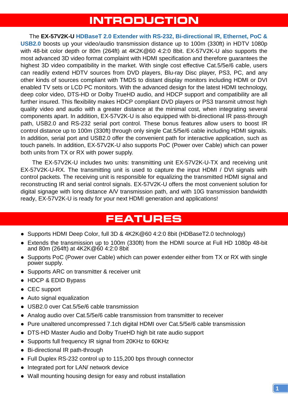## **INTRODUCTION**

<span id="page-2-0"></span>The **EX-57V2K-U HDBaseT 2.0 Extender with RS-232, Bi-directional IR, Ethernet, PoC & USB2.0** boosts up your video/audio transmission distance up to 100m (330ft) in HDTV 1080p with 48-bit color depth or 80m (264ft) at 4K2K@60 4:2:0 8bit. EX-57V2K-U also supports the most advanced 3D video format complaint with HDMI specification and therefore guarantees the highest 3D video compatibility in the market. With single cost effective Cat.5/5e/6 cable, users can readily extend HDTV sources from DVD players, Blu-ray Disc player, PS3, PC, and any other kinds of sources compliant with TMDS to distant display monitors including HDMI or DVI enabled TV sets or LCD PC monitors. With the advanced design for the latest HDMI technology, deep color video, DTS-HD or Dolby TrueHD audio, and HDCP support and compatibility are all further insured. This flexibility makes HDCP compliant DVD players or PS3 transmit utmost high quality video and audio with a greater distance at the minimal cost, when integrating several components apart. In addition, EX-57V2K-U is also equipped with bi-directional IR pass-through path, USB2.0 and RS-232 serial port control. These bonus features allow users to boost IR control distance up to 100m (330ft) through only single Cat.5/5e/6 cable including HDMI signals. In addition, serial port and USB2.0 offer the convenient path for interactive application, such as touch panels. In addition, EX-57V2K-U also supports PoC (Power over Cable) which can power both units from TX or RX with power supply.

The EX-57V2K-U includes two units: transmitting unit EX-57V2K-U-TX and receiving unit EX-57V2K-U-RX. The transmitting unit is used to capture the input HDMI / DVI signals with control packets. The receiving unit is responsible for equalizing the transmitted HDMI signal and reconstructing IR and serial control signals. EX-57V2K-U offers the most convenient solution for digital signage with long distance A/V transmission path, and with 10G transmission bandwidth ready, EX-57V2K-U is ready for your next HDMI generation and applications!

### **FEATURES**

- <span id="page-2-1"></span>● Supports HDMI Deep Color, full 3D & 4K2K@60 4:2:0 8bit (HDBaseT2.0 technology)
- Extends the transmission up to 100m (330ft) from the HDMI source at Full HD 1080p 48-bit and 80m (264ft) at 4K2K@60 4:2:0 8bit
- Supports PoC (Power over Cable) which can power extender either from TX or RX with single power supply.
- Supports ARC on transmitter & receiver unit
- HDCP & EDID Bypass
- CEC support
- Auto signal equalization
- USB2.0 over Cat.5/5e/6 cable transmission
- Analog audio over Cat.5/5e/6 cable transmission from transmitter to receiver
- Pure unaltered uncompressed 7.1ch digital HDMI over Cat.5/5e/6 cable transmission
- DTS-HD Master Audio and Dolby TrueHD high bit rate audio support
- Supports full frequency IR signal from 20KHz to 60KHz
- Bi-directional IR path-through
- Full Duplex RS-232 control up to 115,200 bps through connector
- Integrated port for LAN/ network device
- Wall mounting housing design for easy and robust installation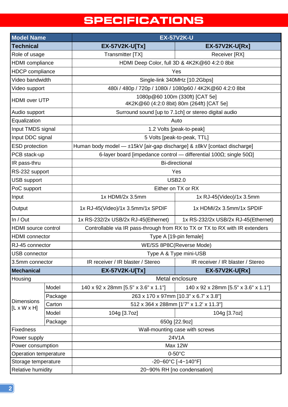# **SPECIFICATIONS**

<span id="page-3-0"></span>

| <b>Model Name</b>                            |         | <b>EX-57V2K-U</b>                                                                   |                                      |  |
|----------------------------------------------|---------|-------------------------------------------------------------------------------------|--------------------------------------|--|
| <b>Technical</b>                             |         | <b>EX-57V2K-U[Tx]</b>                                                               | <b>EX-57V2K-U[Rx]</b>                |  |
| Role of usage                                |         | Transmitter [TX]                                                                    | Receiver [RX]                        |  |
| <b>HDMI</b> compliance                       |         | HDMI Deep Color, full 3D & 4K2K@60 4:2:0 8bit                                       |                                      |  |
| <b>HDCP</b> compliance                       |         | Yes                                                                                 |                                      |  |
| Video bandwidth                              |         | Single-link 340MHz [10.2Gbps]                                                       |                                      |  |
| Video support                                |         | 480i / 480p / 720p / 1080i / 1080p60 / 4K2K@60 4:2:0 8bit                           |                                      |  |
| <b>HDMI</b> over UTP                         |         | 1080p@60 100m (330ft) [CAT 5e]<br>4K2K@60 (4:2:0 8bit) 80m (264ft) [CAT 5e]         |                                      |  |
| Audio support                                |         | Surround sound [up to 7.1ch] or stereo digital audio                                |                                      |  |
| Equalization                                 |         | Auto                                                                                |                                      |  |
| Input TMDS signal                            |         | 1.2 Volts [peak-to-peak]                                                            |                                      |  |
| Input DDC signal                             |         | 5 Volts [peak-to-peak, TTL]                                                         |                                      |  |
| <b>ESD</b> protection                        |         | Human body model - ±15kV [air-gap discharge] & ±8kV [contact discharge]             |                                      |  |
| PCB stack-up                                 |         | 6-layer board [impedance control - differential 100 $\Omega$ ; single 50 $\Omega$ ] |                                      |  |
| IR pass-thru                                 |         | <b>Bi-directional</b>                                                               |                                      |  |
| RS-232 support                               |         | Yes                                                                                 |                                      |  |
| USB support                                  |         | <b>USB2.0</b>                                                                       |                                      |  |
| PoC support                                  |         | Either on TX or RX                                                                  |                                      |  |
| Input                                        |         | 1x HDMI/2x 3.5mm                                                                    | 1x RJ-45(Video)/1x 3.5mm             |  |
| Output                                       |         | 1x RJ-45(Video)/1x 3.5mm/1x SPDIF                                                   | 1x HDMI/2x 3.5mm/1x SPDIF            |  |
| In / Out                                     |         | 1x RS-232/2x USB/2x RJ-45(Ethernet)                                                 | 1x RS-232/2x USB/2x RJ-45(Ethernet)  |  |
| <b>HDMI</b> source control                   |         | Controllable via IR pass-through from RX to TX or TX to RX with IR extenders        |                                      |  |
| <b>HDMI</b> connector                        |         | Type A [19-pin female]                                                              |                                      |  |
| RJ-45 connector                              |         | WE/SS 8P8C(Reverse Mode)                                                            |                                      |  |
| <b>USB</b> connector                         |         | Type A & Type mini-USB                                                              |                                      |  |
| 3.5mm connector                              |         | IR receiver / IR blaster / Stereo                                                   | IR receiver / IR blaster / Stereo    |  |
| <b>Mechanical</b>                            |         | <b>EX-57V2K-U[Tx]</b>                                                               | <b>EX-57V2K-U[Rx]</b>                |  |
| Housing                                      |         | Metal enclosure                                                                     |                                      |  |
|                                              | Model   | 140 x 92 x 28mm [5.5" x 3.6" x 1.1"]                                                | 140 x 92 x 28mm [5.5" x 3.6" x 1.1"] |  |
|                                              | Package | 263 x 170 x 97mm [10.3" x 6.7' x 3.8"]                                              |                                      |  |
| <b>Dimensions</b><br>$[L \times W \times H]$ | Carton  | 512 x 364 x 288mm [1'7" x 1.2' x 11.3"]                                             |                                      |  |
|                                              | Model   | 104g [3.7oz]                                                                        | 104g [3.7oz]                         |  |
|                                              | Package |                                                                                     | 650g [22.9oz]                        |  |
| <b>Fixedness</b>                             |         | Wall-mounting case with screws                                                      |                                      |  |
| Power supply                                 |         | 24V1A                                                                               |                                      |  |
| Power consumption                            |         | Max 12W                                                                             |                                      |  |
| Operation temperature                        |         | $0-50$ °C                                                                           |                                      |  |
| Storage temperature                          |         | $-20 - 60^{\circ}C$ [ $-4 - 140^{\circ}F$ ]                                         |                                      |  |
| Relative humidity                            |         | 20~90% RH [no condensation]                                                         |                                      |  |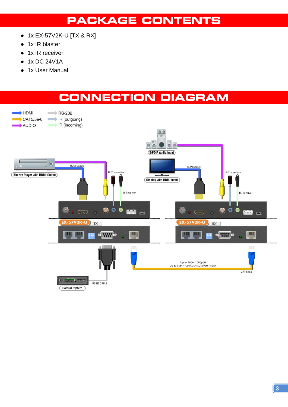# **PACKAGE CONTENTS**

- <span id="page-4-0"></span>● 1x EX-57V2K-U [TX & RX]
- 1x IR blaster
- 1x IR receiver
- 1x DC 24V1A
- 1x User Manual

## **CONNECTION DIAGRAM**

<span id="page-4-1"></span>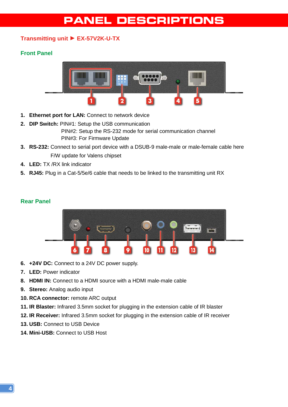## **PANEL DESCRIPTIONS**

### <span id="page-5-1"></span><span id="page-5-0"></span>**Transmitting unit** ► **EX-57V2K-U-TX**

#### **Front Panel**



- **1. Ethernet port for LAN:** Connect to network device
- **2. DIP Switch:** PIN#1: Setup the USB communication PIN#2: Setup the RS-232 mode for serial communication channel PIN#3: For Firmware Update
- **3. RS-232:** Connect to serial port device with a DSUB-9 male-male or male-female cable here F/W update for Valens chipset
- **4. LED:** TX /RX link indicator
- **5. RJ45:** Plug in a Cat-5/5e/6 cable that needs to be linked to the transmitting unit RX

#### **Rear Panel**



- **6. +24V DC:** Connect to a 24V DC power supply.
- **7. LED:** Power indicator
- **8. HDMI IN:** Connect to a HDMI source with a HDMI male-male cable
- **9. Stereo:** Analog audio input
- **10. RCA connector:** remote ARC output
- **11. IR Blaster:** Infrared 3.5mm socket for plugging in the extension cable of IR blaster
- **12. IR Receiver:** Infrared 3.5mm socket for plugging in the extension cable of IR receiver
- **13. USB:** Connect to USB Device
- **14. Mini-USB:** Connect to USB Host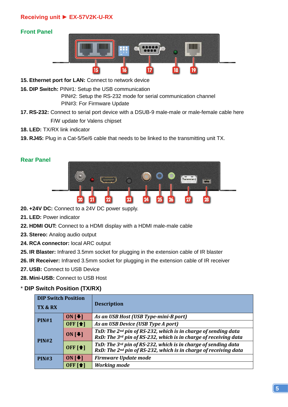### <span id="page-6-0"></span>**Receiving unit ► EX-57V2K-U-RX**

### **Front Panel**



- **15. Ethernet port for LAN:** Connect to network device
- **16. DIP Switch:** PIN#1: Setup the USB communication

PIN#2: Setup the RS-232 mode for serial communication channel PIN#3: For Firmware Update

- **17. RS-232:** Connect to serial port device with a DSUB-9 male-male or male-female cable here F/W update for Valens chipset
- **18. LED:** TX/RX link indicator
- **19. RJ45:** Plug in a Cat-5/5e/6 cable that needs to be linked to the transmitting unit TX.

#### **Rear Panel**



- **20. +24V DC:** Connect to a 24V DC power supply.
- **21. LED:** Power indicator
- **22. HDMI OUT:** Connect to a HDMI display with a HDMI male-male cable
- **23. Stereo:** Analog audio output
- **24. RCA connector:** local ARC output
- **25. IR Blaster:** Infrared 3.5mm socket for plugging in the extension cable of IR blaster
- **26. IR Receiver:** Infrared 3.5mm socket for plugging in the extension cable of IR receiver
- **27. USB:** Connect to USB Device
- **28. Mini-USB:** Connect to USB Host

#### \* **DIP Switch Position (TX/RX)**

| <b>DIP Switch Position</b> |                            |                                                                                                                                                |  |  |
|----------------------------|----------------------------|------------------------------------------------------------------------------------------------------------------------------------------------|--|--|
| <b>TX &amp; RX</b>         |                            | <b>Description</b>                                                                                                                             |  |  |
| PIN#1                      | ON $[\blacktriangleright]$ | As an USB Host (USB Type-mini-B port)                                                                                                          |  |  |
|                            | <b>OFF</b> [1]             | As an USB Device (USB Type A port)                                                                                                             |  |  |
| PIN#2                      | ON $[\blacktriangleright]$ | TxD: The 2 <sup>nd</sup> pin of RS-232, which is in charge of sending data<br>RxD: The 3rd pin of RS-232, which is in charge of receiving data |  |  |
|                            | <b>OFF</b> [1]             | TxD: The 3rd pin of RS-232, which is in charge of sending data<br>RxD: The 2 <sup>nd</sup> pin of RS-232, which is in charge of receiving data |  |  |
| PIN#3                      | ON $[\bigstar]$            | <b>Firmware Update mode</b>                                                                                                                    |  |  |
|                            | OFF [ <sup>1</sup> ]       | <b>Working mode</b>                                                                                                                            |  |  |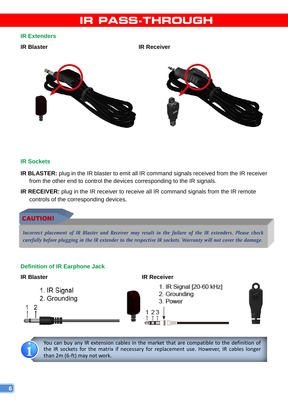## <span id="page-7-0"></span>**IR PASS-THROUGH**

#### **IR Extenders**

**IR Blaster IR Receiver**



#### **IR Sockets**

- **IR BLASTER:** plug in the IR blaster to emit all IR command signals received from the IR receiver from the other end to control the devices corresponding to the IR signals.
- **IR RECEIVER:** plug in the IR receiver to receive all IR command signals from the IR remote controls of the corresponding devices.

### CAUTION!

*Incorrect placement of IR Blaster and Receiver may result in the failure of the IR extenders. Please check carefully before plugging in the IR extender to the respective IR sockets. Warranty will not cover the damage.*

#### **Definition of IR Earphone Jack**



You can buy any IR extension cables in the market that are compatible to the definition of the IR sockets for the matrix if necessary for replacement use. However, IR cables longer than 2m (6-ft) may not work.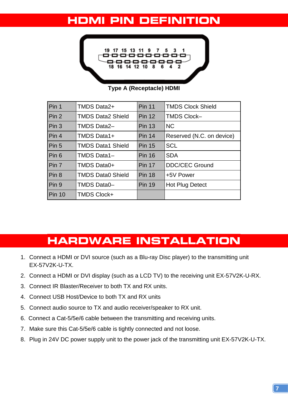# <span id="page-8-0"></span>**HDMI PIN DEFINITION**



**Type A (Receptacle) HDMI**

| Pin 1            | <b>TMDS Data2+</b>       | <b>Pin 11</b> | <b>TMDS Clock Shield</b>  |
|------------------|--------------------------|---------------|---------------------------|
| Pin <sub>2</sub> | <b>TMDS Data2 Shield</b> | <b>Pin 12</b> | <b>TMDS Clock-</b>        |
| Pin <sub>3</sub> | <b>TMDS Data2-</b>       | <b>Pin 13</b> | <b>NC</b>                 |
| Pin 4            | TMDS Data1+              | <b>Pin 14</b> | Reserved (N.C. on device) |
| Pin <sub>5</sub> | <b>TMDS Data1 Shield</b> | <b>Pin 15</b> | <b>SCL</b>                |
| Pin 6            | TMDS Data1-              | <b>Pin 16</b> | <b>SDA</b>                |
| Pin 7            | <b>TMDS Data0+</b>       | <b>Pin 17</b> | <b>DDC/CEC Ground</b>     |
| Pin <sub>8</sub> | <b>TMDS Data0 Shield</b> | <b>Pin 18</b> | +5V Power                 |
| Pin 9            | TMDS Data0-              | <b>Pin 19</b> | Hot Plug Detect           |
| <b>Pin 10</b>    | <b>TMDS Clock+</b>       |               |                           |

# **HARDWARE INSTALLATION**

- <span id="page-8-1"></span>1. Connect a HDMI or DVI source (such as a Blu-ray Disc player) to the transmitting unit EX-57V2K-U-TX.
- 2. Connect a HDMI or DVI display (such as a LCD TV) to the receiving unit EX-57V2K-U-RX.
- 3. Connect IR Blaster/Receiver to both TX and RX units.
- 4. Connect USB Host/Device to both TX and RX units
- 5. Connect audio source to TX and audio receiver/speaker to RX unit.
- 6. Connect a Cat-5/5e/6 cable between the transmitting and receiving units.
- 7. Make sure this Cat-5/5e/6 cable is tightly connected and not loose.
- 8. Plug in 24V DC power supply unit to the power jack of the transmitting unit EX-57V2K-U-TX.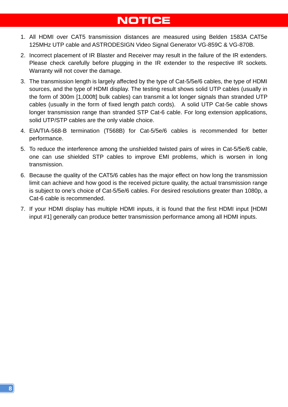# **NOTICE**

- <span id="page-9-0"></span>1. All HDMI over CAT5 transmission distances are measured using Belden 1583A CAT5e 125MHz UTP cable and ASTRODESIGN Video Signal Generator VG-859C & VG-870B.
- 2. Incorrect placement of IR Blaster and Receiver may result in the failure of the IR extenders. Please check carefully before plugging in the IR extender to the respective IR sockets. Warranty will not cover the damage.
- 3. The transmission length is largely affected by the type of Cat-5/5e/6 cables, the type of HDMI sources, and the type of HDMI display. The testing result shows solid UTP cables (usually in the form of 300m [1,000ft] bulk cables) can transmit a lot longer signals than stranded UTP cables (usually in the form of fixed length patch cords). A solid UTP Cat-5e cable shows longer transmission range than stranded STP Cat-6 cable. For long extension applications, solid UTP/STP cables are the only viable choice.
- 4. EIA/TIA-568-B termination (T568B) for Cat-5/5e/6 cables is recommended for better performance.
- 5. To reduce the interference among the unshielded twisted pairs of wires in Cat-5/5e/6 cable, one can use shielded STP cables to improve EMI problems, which is worsen in long transmission.
- 6. Because the quality of the CAT5/6 cables has the major effect on how long the transmission limit can achieve and how good is the received picture quality, the actual transmission range is subject to one's choice of Cat-5/5e/6 cables. For desired resolutions greater than 1080p, a Cat-6 cable is recommended.
- 7. If your HDMI display has multiple HDMI inputs, it is found that the first HDMI input [HDMI input #1] generally can produce better transmission performance among all HDMI inputs.